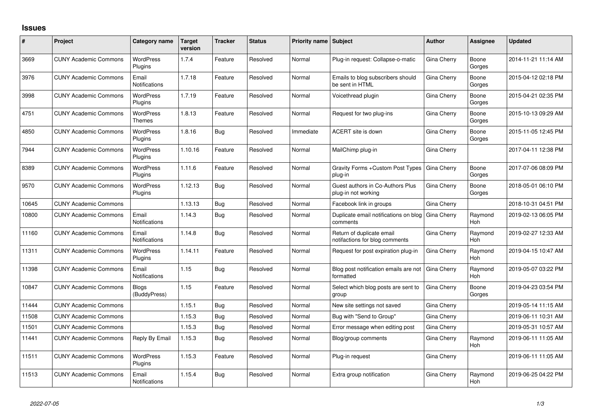## **Issues**

| #     | Project                      | Category name                 | <b>Target</b><br>version | <b>Tracker</b> | <b>Status</b> | Priority name Subject |                                                             | <b>Author</b> | Assignee              | <b>Updated</b>      |
|-------|------------------------------|-------------------------------|--------------------------|----------------|---------------|-----------------------|-------------------------------------------------------------|---------------|-----------------------|---------------------|
| 3669  | <b>CUNY Academic Commons</b> | <b>WordPress</b><br>Plugins   | 1.7.4                    | Feature        | Resolved      | Normal                | Plug-in request: Collapse-o-matic                           | Gina Cherry   | Boone<br>Gorges       | 2014-11-21 11:14 AM |
| 3976  | <b>CUNY Academic Commons</b> | Email<br><b>Notifications</b> | 1.7.18                   | Feature        | Resolved      | Normal                | Emails to blog subscribers should<br>be sent in HTML        | Gina Cherry   | Boone<br>Gorges       | 2015-04-12 02:18 PM |
| 3998  | <b>CUNY Academic Commons</b> | <b>WordPress</b><br>Plugins   | 1.7.19                   | Feature        | Resolved      | Normal                | Voicethread plugin                                          | Gina Cherry   | Boone<br>Gorges       | 2015-04-21 02:35 PM |
| 4751  | <b>CUNY Academic Commons</b> | <b>WordPress</b><br>Themes    | 1.8.13                   | Feature        | Resolved      | Normal                | Request for two plug-ins                                    | Gina Cherry   | Boone<br>Gorges       | 2015-10-13 09:29 AM |
| 4850  | <b>CUNY Academic Commons</b> | <b>WordPress</b><br>Plugins   | 1.8.16                   | Bug            | Resolved      | Immediate             | ACERT site is down                                          | Gina Cherry   | Boone<br>Gorges       | 2015-11-05 12:45 PM |
| 7944  | <b>CUNY Academic Commons</b> | <b>WordPress</b><br>Plugins   | 1.10.16                  | Feature        | Resolved      | Normal                | MailChimp plug-in                                           | Gina Cherry   |                       | 2017-04-11 12:38 PM |
| 8389  | <b>CUNY Academic Commons</b> | <b>WordPress</b><br>Plugins   | 1.11.6                   | Feature        | Resolved      | Normal                | Gravity Forms + Custom Post Types<br>plug-in                | Gina Cherry   | Boone<br>Gorges       | 2017-07-06 08:09 PM |
| 9570  | <b>CUNY Academic Commons</b> | <b>WordPress</b><br>Plugins   | 1.12.13                  | Bug            | Resolved      | Normal                | Guest authors in Co-Authors Plus<br>plug-in not working     | Gina Cherry   | Boone<br>Gorges       | 2018-05-01 06:10 PM |
| 10645 | <b>CUNY Academic Commons</b> |                               | 1.13.13                  | Bug            | Resolved      | Normal                | Facebook link in groups                                     | Gina Cherry   |                       | 2018-10-31 04:51 PM |
| 10800 | <b>CUNY Academic Commons</b> | Email<br><b>Notifications</b> | 1.14.3                   | Bug            | Resolved      | Normal                | Duplicate email notifications on blog<br>comments           | Gina Cherry   | Raymond<br><b>Hoh</b> | 2019-02-13 06:05 PM |
| 11160 | <b>CUNY Academic Commons</b> | Email<br><b>Notifications</b> | 1.14.8                   | Bug            | Resolved      | Normal                | Return of duplicate email<br>notifactions for blog comments | Gina Cherry   | Raymond<br><b>Hoh</b> | 2019-02-27 12:33 AM |
| 11311 | <b>CUNY Academic Commons</b> | <b>WordPress</b><br>Plugins   | 1.14.11                  | Feature        | Resolved      | Normal                | Request for post expiration plug-in                         | Gina Cherry   | Raymond<br>Hoh        | 2019-04-15 10:47 AM |
| 11398 | <b>CUNY Academic Commons</b> | Email<br>Notifications        | 1.15                     | Bug            | Resolved      | Normal                | Blog post notification emails are not<br>formatted          | Gina Cherry   | Raymond<br>Hoh        | 2019-05-07 03:22 PM |
| 10847 | <b>CUNY Academic Commons</b> | <b>Blogs</b><br>(BuddyPress)  | 1.15                     | Feature        | Resolved      | Normal                | Select which blog posts are sent to<br>group                | Gina Cherry   | Boone<br>Gorges       | 2019-04-23 03:54 PM |
| 11444 | <b>CUNY Academic Commons</b> |                               | 1.15.1                   | <b>Bug</b>     | Resolved      | Normal                | New site settings not saved                                 | Gina Cherry   |                       | 2019-05-14 11:15 AM |
| 11508 | <b>CUNY Academic Commons</b> |                               | 1.15.3                   | Bug            | Resolved      | Normal                | Bug with "Send to Group"                                    | Gina Cherry   |                       | 2019-06-11 10:31 AM |
| 11501 | <b>CUNY Academic Commons</b> |                               | 1.15.3                   | <b>Bug</b>     | Resolved      | Normal                | Error message when editing post                             | Gina Cherry   |                       | 2019-05-31 10:57 AM |
| 11441 | <b>CUNY Academic Commons</b> | Reply By Email                | 1.15.3                   | Bug            | Resolved      | Normal                | Blog/group comments                                         | Gina Cherry   | Raymond<br><b>Hoh</b> | 2019-06-11 11:05 AM |
| 11511 | <b>CUNY Academic Commons</b> | <b>WordPress</b><br>Plugins   | 1.15.3                   | Feature        | Resolved      | Normal                | Plug-in request                                             | Gina Cherry   |                       | 2019-06-11 11:05 AM |
| 11513 | <b>CUNY Academic Commons</b> | Email<br>Notifications        | 1.15.4                   | Bug            | Resolved      | Normal                | Extra group notification                                    | Gina Cherry   | Raymond<br>Hoh        | 2019-06-25 04:22 PM |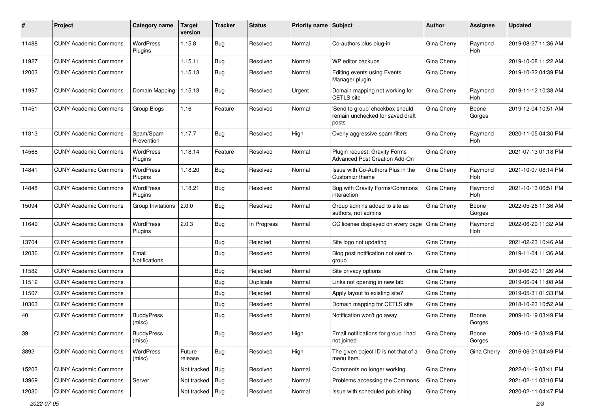| #     | Project                      | <b>Category name</b>        | <b>Target</b><br>version | <b>Tracker</b> | <b>Status</b> | <b>Priority name Subject</b> |                                                                              | Author             | Assignee              | <b>Updated</b>      |
|-------|------------------------------|-----------------------------|--------------------------|----------------|---------------|------------------------------|------------------------------------------------------------------------------|--------------------|-----------------------|---------------------|
| 11488 | <b>CUNY Academic Commons</b> | <b>WordPress</b><br>Plugins | 1.15.8                   | <b>Bug</b>     | Resolved      | Normal                       | Co-authors plus plug-in                                                      | Gina Cherry        | Raymond<br>Hoh        | 2019-08-27 11:36 AM |
| 11927 | <b>CUNY Academic Commons</b> |                             | 1.15.11                  | Bug            | Resolved      | Normal                       | WP editor backups                                                            | Gina Cherry        |                       | 2019-10-08 11:22 AM |
| 12003 | <b>CUNY Academic Commons</b> |                             | 1.15.13                  | Bug            | Resolved      | Normal                       | <b>Editing events using Events</b><br>Manager plugin                         | Gina Cherry        |                       | 2019-10-22 04:39 PM |
| 11997 | <b>CUNY Academic Commons</b> | Domain Mapping              | 1.15.13                  | Bug            | Resolved      | Urgent                       | Domain mapping not working for<br><b>CETLS</b> site                          | Gina Cherry        | Raymond<br>Hoh        | 2019-11-12 10:38 AM |
| 11451 | <b>CUNY Academic Commons</b> | Group Blogs                 | 1.16                     | Feature        | Resolved      | Normal                       | 'Send to group' checkbox should<br>remain unchecked for saved draft<br>posts | Gina Cherry        | Boone<br>Gorges       | 2019-12-04 10:51 AM |
| 11313 | <b>CUNY Academic Commons</b> | Spam/Spam<br>Prevention     | 1.17.7                   | Bug            | Resolved      | High                         | Overly aggressive spam filters                                               | Gina Cherry        | Raymond<br>Hoh        | 2020-11-05 04:30 PM |
| 14568 | <b>CUNY Academic Commons</b> | <b>WordPress</b><br>Plugins | 1.18.14                  | Feature        | Resolved      | Normal                       | Plugin request: Gravity Forms<br>Advanced Post Creation Add-On               | Gina Cherry        |                       | 2021-07-13 01:18 PM |
| 14841 | <b>CUNY Academic Commons</b> | <b>WordPress</b><br>Plugins | 1.18.20                  | <b>Bug</b>     | Resolved      | Normal                       | Issue with Co-Authors Plus in the<br>Customizr theme                         | Gina Cherry        | Raymond<br><b>Hoh</b> | 2021-10-07 08:14 PM |
| 14848 | <b>CUNY Academic Commons</b> | <b>WordPress</b><br>Plugins | 1.18.21                  | Bug            | Resolved      | Normal                       | Bug with Gravity Forms/Commons<br>interaction                                | Gina Cherry        | Raymond<br>Hoh        | 2021-10-13 06:51 PM |
| 15094 | <b>CUNY Academic Commons</b> | Group Invitations           | 2.0.0                    | Bug            | Resolved      | Normal                       | Group admins added to site as<br>authors, not admins                         | Gina Cherry        | Boone<br>Gorges       | 2022-05-26 11:36 AM |
| 11649 | <b>CUNY Academic Commons</b> | WordPress<br>Plugins        | 2.0.3                    | Bug            | In Progress   | Normal                       | CC license displayed on every page                                           | <b>Gina Cherry</b> | Raymond<br>Hoh        | 2022-06-29 11:32 AM |
| 13704 | <b>CUNY Academic Commons</b> |                             |                          | <b>Bug</b>     | Rejected      | Normal                       | Site logo not updating                                                       | Gina Cherry        |                       | 2021-02-23 10:46 AM |
| 12036 | <b>CUNY Academic Commons</b> | Email<br>Notifications      |                          | Bug            | Resolved      | Normal                       | Blog post notification not sent to<br>group                                  | Gina Cherry        |                       | 2019-11-04 11:36 AM |
| 11582 | <b>CUNY Academic Commons</b> |                             |                          | Bug            | Rejected      | Normal                       | Site privacy options                                                         | Gina Cherry        |                       | 2019-06-20 11:26 AM |
| 11512 | <b>CUNY Academic Commons</b> |                             |                          | <b>Bug</b>     | Duplicate     | Normal                       | Links not opening in new tab                                                 | Gina Cherry        |                       | 2019-06-04 11:08 AM |
| 11507 | <b>CUNY Academic Commons</b> |                             |                          | <b>Bug</b>     | Rejected      | Normal                       | Apply layout to existing site?                                               | Gina Cherry        |                       | 2019-05-31 01:33 PM |
| 10363 | <b>CUNY Academic Commons</b> |                             |                          | <b>Bug</b>     | Resolved      | Normal                       | Domain mapping for CETLS site                                                | Gina Cherry        |                       | 2018-10-23 10:52 AM |
| 40    | <b>CUNY Academic Commons</b> | <b>BuddyPress</b><br>(misc) |                          | Bug            | Resolved      | Normal                       | Notification won't go away                                                   | Gina Cherry        | Boone<br>Gorges       | 2009-10-19 03:49 PM |
| 39    | <b>CUNY Academic Commons</b> | <b>BuddyPress</b><br>(misc) |                          | Bug            | Resolved      | High                         | Email notifications for group I had<br>not joined                            | Gina Cherry        | Boone<br>Gorges       | 2009-10-19 03:49 PM |
| 3892  | <b>CUNY Academic Commons</b> | WordPress<br>(misc)         | Future<br>release        | Bug            | Resolved      | High                         | The given object ID is not that of a<br>menu item.                           | <b>Gina Cherry</b> | Gina Cherry           | 2016-06-21 04:49 PM |
| 15203 | <b>CUNY Academic Commons</b> |                             | Not tracked              | <b>Bug</b>     | Resolved      | Normal                       | Comments no longer working                                                   | Gina Cherry        |                       | 2022-01-19 03:41 PM |
| 13969 | <b>CUNY Academic Commons</b> | Server                      | Not tracked              | Bug            | Resolved      | Normal                       | Problems accessing the Commons                                               | <b>Gina Cherry</b> |                       | 2021-02-11 03:10 PM |
| 12030 | <b>CUNY Academic Commons</b> |                             | Not tracked $ $ Bug      |                | Resolved      | Normal                       | Issue with scheduled publishing                                              | Gina Cherry        |                       | 2020-02-11 04:47 PM |